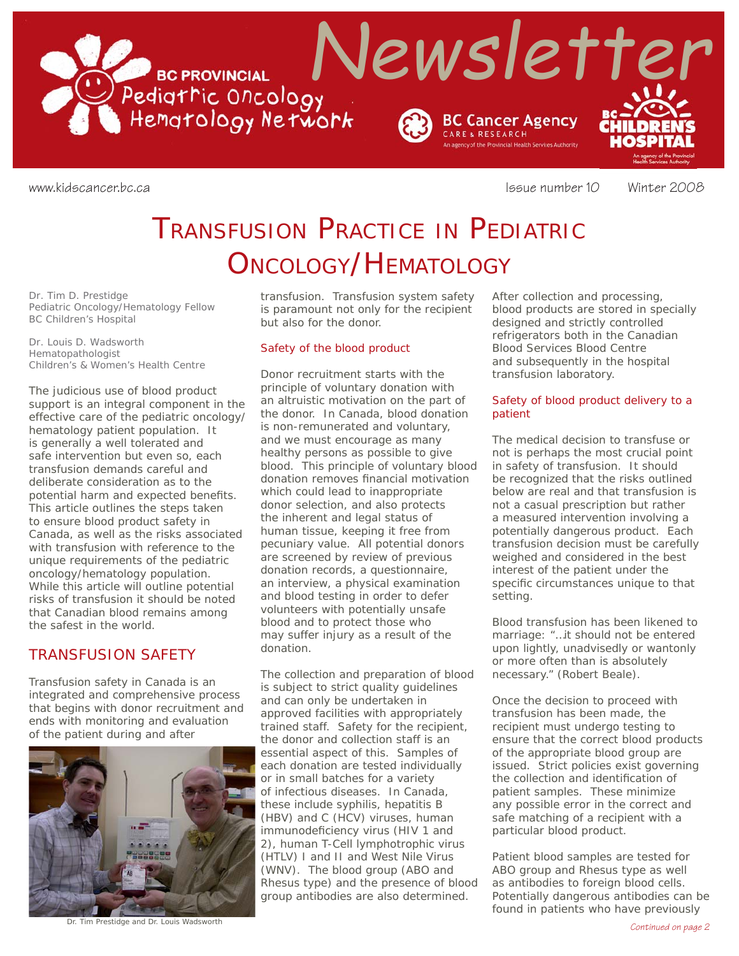Recently Mewsletter

**BC PROVINCIAL** 



www.kidscancer.bc.ca **Issue number 10** Winter 2008

# TRANSFUSION PRACTICE IN PEDIATRIC ONCOLOGY/HEMATOLOGY

*Dr. Tim D. Prestidge Pediatric Oncology/Hematology Fellow BC Children's Hospital*

*Dr. Louis D. Wadsworth Hematopathologist Children's & Women's Health Centre*

The judicious use of blood product support is an integral component in the effective care of the pediatric oncology/ hematology patient population. It is generally a well tolerated and safe intervention but even so, each transfusion demands careful and deliberate consideration as to the potential harm and expected benefits. This article outlines the steps taken to ensure blood product safety in Canada, as well as the risks associated with transfusion with reference to the unique requirements of the pediatric oncology/hematology population. While this article will outline potential risks of transfusion it should be noted that Canadian blood remains among the safest in the world.

# TRANSFUSION SAFETY

Transfusion safety in Canada is an integrated and comprehensive process that begins with donor recruitment and ends with monitoring and evaluation of the patient during and after



*Continued on page 2* Dr. Tim Prestidge and Dr. Louis Wadsworth

transfusion. Transfusion system safety is paramount not only for the recipient but also for the donor.

## Safety of the blood product

Donor recruitment starts with the principle of voluntary donation with an altruistic motivation on the part of the donor. In Canada, blood donation is non-remunerated and voluntary, and we must encourage as many healthy persons as possible to give blood. This principle of voluntary blood donation removes financial motivation which could lead to inappropriate donor selection, and also protects the inherent and legal status of human tissue, keeping it free from pecuniary value. All potential donors are screened by review of previous donation records, a questionnaire, an interview, a physical examination and blood testing in order to defer volunteers with potentially unsafe blood and to protect those who may suffer injury as a result of the donation.

The collection and preparation of blood is subject to strict quality guidelines and can only be undertaken in approved facilities with appropriately trained staff. Safety for the recipient, the donor and collection staff is an essential aspect of this. Samples of each donation are tested individually or in small batches for a variety of infectious diseases. In Canada, these include syphilis, hepatitis B (HBV) and C (HCV) viruses, human immunodeficiency virus (HIV 1 and 2), human T-Cell lymphotrophic virus (HTLV) I and II and West Nile Virus (WNV). The blood group (ABO and Rhesus type) and the presence of blood group antibodies are also determined.

After collection and processing, blood products are stored in specially designed and strictly controlled refrigerators both in the Canadian Blood Services Blood Centre and subsequently in the hospital transfusion laboratory.

## Safety of blood product delivery to a patient

The medical decision to transfuse or not is perhaps the most crucial point in safety of transfusion. It should be recognized that the risks outlined below are real and that transfusion is not a casual prescription but rather a measured intervention involving a potentially dangerous product. Each transfusion decision must be carefully weighed and considered in the best interest of the patient under the specific circumstances unique to that setting.

Blood transfusion has been likened to marriage: "…it should not be entered upon lightly, unadvisedly or wantonly or more often than is absolutely necessary." (Robert Beale).

Once the decision to proceed with transfusion has been made, the recipient must undergo testing to ensure that the correct blood products of the appropriate blood group are issued. Strict policies exist governing the collection and identification of patient samples. These minimize any possible error in the correct and safe matching of a recipient with a particular blood product.

Patient blood samples are tested for ABO group and Rhesus type as well as antibodies to foreign blood cells. Potentially dangerous antibodies can be found in patients who have previously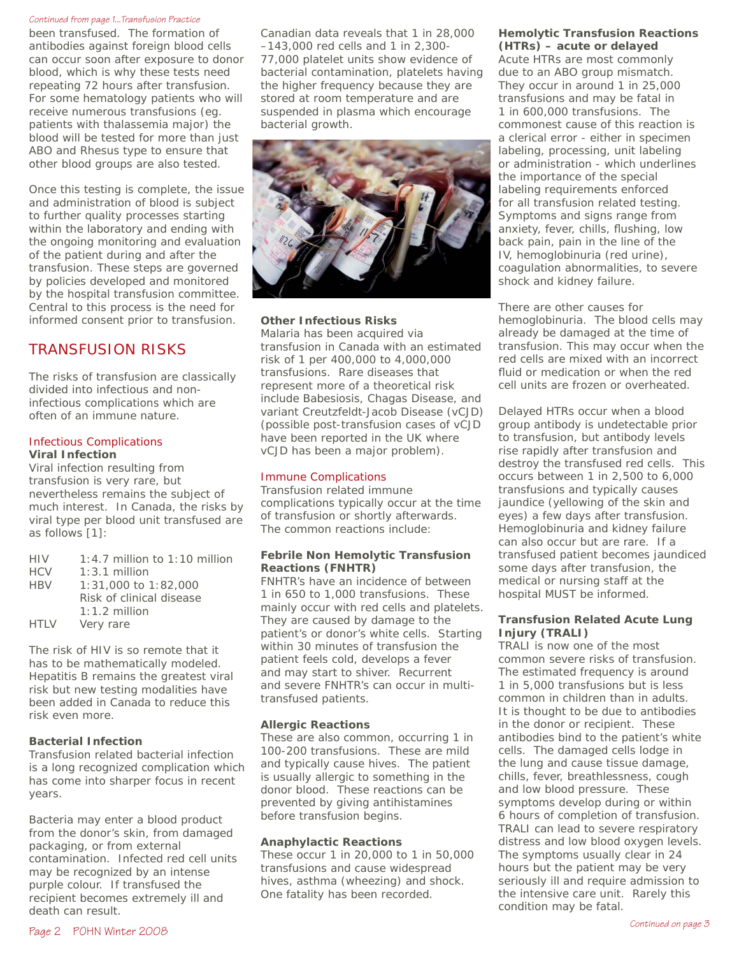#### *Continued from page 1...Transfusion Practice*

been transfused. The formation of antibodies against foreign blood cells can occur soon after exposure to donor blood, which is why these tests need repeating 72 hours after transfusion. For some hematology patients who will receive numerous transfusions (eg. patients with thalassemia major) the blood will be tested for more than just ABO and Rhesus type to ensure that other blood groups are also tested.

Once this testing is complete, the issue and administration of blood is subject to further quality processes starting within the laboratory and ending with the ongoing monitoring and evaluation of the patient during and after the transfusion. These steps are governed by policies developed and monitored by the hospital transfusion committee. Central to this process is the need for informed consent prior to transfusion.

# TRANSFUSION RISKS

The risks of transfusion are classically divided into infectious and noninfectious complications which are often of an immune nature.

## Infectious Complications **Viral Infection**

Viral infection resulting from transfusion is very rare, but nevertheless remains the subject of much interest. In Canada, the risks by viral type per blood unit transfused are as follows [1]:

| <b>HIV</b>  | $1:4.7$ million to $1:10$ million |
|-------------|-----------------------------------|
| <b>HCV</b>  | $1:3.1$ million                   |
| <b>HBV</b>  | $1:31,000$ to $1:82,000$          |
|             | Risk of clinical disease          |
|             | $1:1.2$ million                   |
| <b>HTLV</b> | Very rare                         |

The risk of HIV is so remote that it has to be mathematically modeled. Hepatitis B remains the greatest viral risk but new testing modalities have been added in Canada to reduce this risk even more.

# **Bacterial Infection**

Transfusion related bacterial infection is a long recognized complication which has come into sharper focus in recent years.

Bacteria may enter a blood product from the donor's skin, from damaged packaging, or from external contamination. Infected red cell units may be recognized by an intense purple colour. If transfused the recipient becomes extremely ill and death can result.

Canadian data reveals that 1 in 28,000 –143,000 red cells and 1 in 2,300- 77,000 platelet units show evidence of bacterial contamination, platelets having the higher frequency because they are stored at room temperature and are suspended in plasma which encourage bacterial growth.



# **Other Infectious Risks**

Malaria has been acquired via transfusion in Canada with an estimated risk of 1 per 400,000 to 4,000,000 transfusions. Rare diseases that represent more of a theoretical risk include Babesiosis, Chagas Disease, and variant Creutzfeldt-Jacob Disease (vCJD) (possible post-transfusion cases of vCJD have been reported in the UK where vCJD has been a major problem).

## Immune Complications

Transfusion related immune complications typically occur at the time of transfusion or shortly afterwards. The common reactions include:

#### **Febrile Non Hemolytic Transfusion Reactions (FNHTR)**

FNHTR's have an incidence of between 1 in 650 to 1,000 transfusions. These mainly occur with red cells and platelets. They are caused by damage to the patient's or donor's white cells. Starting within 30 minutes of transfusion the patient feels cold, develops a fever and may start to shiver. Recurrent and severe FNHTR's can occur in multitransfused patients.

# **Allergic Reactions**

These are also common, occurring 1 in 100-200 transfusions. These are mild and typically cause hives. The patient is usually allergic to something in the donor blood. These reactions can be prevented by giving antihistamines before transfusion begins.

# **Anaphylactic Reactions**

These occur 1 in 20,000 to 1 in 50,000 transfusions and cause widespread hives, asthma (wheezing) and shock. One fatality has been recorded.

# **Hemolytic Transfusion Reactions (HTRs) – acute or delayed**

Acute HTRs are most commonly due to an ABO group mismatch. They occur in around 1 in 25,000 transfusions and may be fatal in 1 in 600,000 transfusions. The commonest cause of this reaction is a clerical error - either in specimen labeling, processing, unit labeling or administration - which underlines the importance of the special labeling requirements enforced for all transfusion related testing. Symptoms and signs range from anxiety, fever, chills, flushing, low back pain, pain in the line of the IV, hemoglobinuria (red urine), coagulation abnormalities, to severe shock and kidney failure.

There are other causes for hemoglobinuria. The blood cells may already be damaged at the time of transfusion. This may occur when the red cells are mixed with an incorrect fluid or medication or when the red cell units are frozen or overheated.

Delayed HTRs occur when a blood group antibody is undetectable prior to transfusion, but antibody levels rise rapidly after transfusion and destroy the transfused red cells. This occurs between 1 in 2,500 to 6,000 transfusions and typically causes jaundice (yellowing of the skin and eyes) a few days after transfusion. Hemoglobinuria and kidney failure can also occur but are rare. If a transfused patient becomes jaundiced some days after transfusion, the medical or nursing staff at the hospital MUST be informed.

# **Transfusion Related Acute Lung Injury (TRALI)**

TRALI is now one of the most common severe risks of transfusion. The estimated frequency is around 1 in 5,000 transfusions but is less common in children than in adults. It is thought to be due to antibodies in the donor or recipient. These antibodies bind to the patient's white cells. The damaged cells lodge in the lung and cause tissue damage, chills, fever, breathlessness, cough and low blood pressure. These symptoms develop during or within 6 hours of completion of transfusion. TRALI can lead to severe respiratory distress and low blood oxygen levels. The symptoms usually clear in 24 hours but the patient may be very seriously ill and require admission to the intensive care unit. Rarely this condition may be fatal.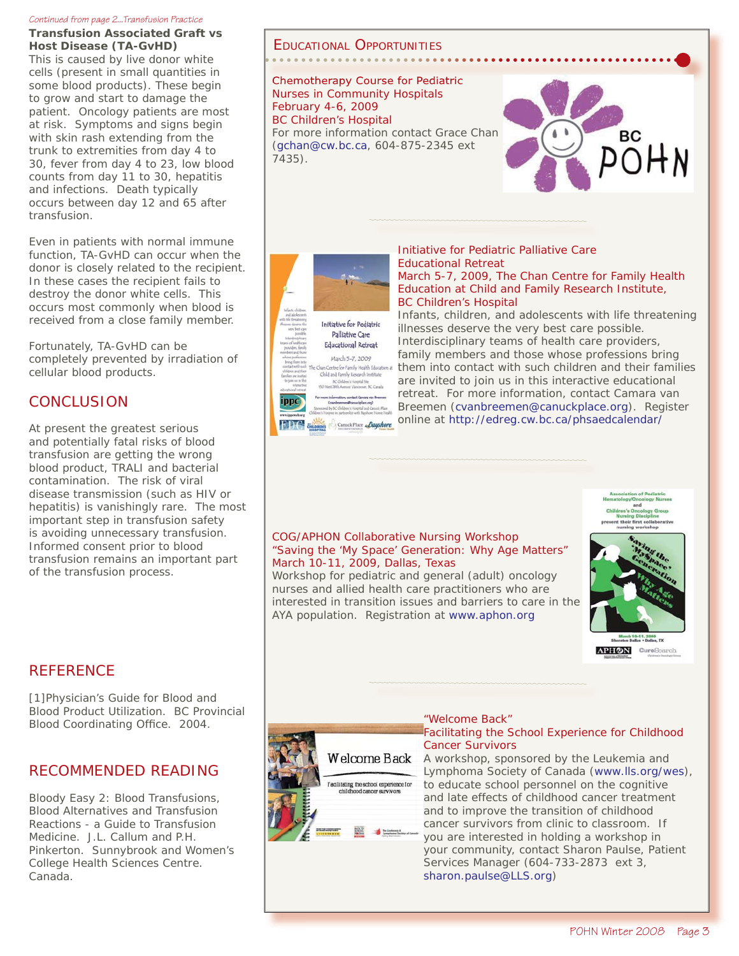#### *Continued from page 2...Transfusion Practice*

**Transfusion Associated Graft vs Host Disease (TA-GvHD)**

This is caused by live donor white cells (present in small quantities in some blood products). These begin to grow and start to damage the patient. Oncology patients are most at risk. Symptoms and signs begin with skin rash extending from the trunk to extremities from day 4 to 30, fever from day 4 to 23, low blood counts from day 11 to 30, hepatitis and infections. Death typically occurs between day 12 and 65 after transfusion.

Even in patients with normal immune function, TA-GvHD can occur when the donor is closely related to the recipient. In these cases the recipient fails to destroy the donor white cells. This occurs most commonly when blood is received from a close family member.

Fortunately, TA-GvHD can be completely prevented by irradiation of cellular blood products.

# CONCLUSION

At present the greatest serious and potentially fatal risks of blood transfusion are getting the wrong blood product, TRALI and bacterial contamination. The risk of viral disease transmission (such as HIV or hepatitis) is vanishingly rare. The most important step in transfusion safety is avoiding unnecessary transfusion. Informed consent prior to blood transfusion remains an important part of the transfusion process.

# EDUCATIONAL OPPORTUNITIES

Chemotherapy Course for Pediatric Nurses in Community Hospitals February 4-6, 2009 BC Children's Hospital For more information contact Grace Chan (gchan@cw.bc.ca, 604-875-2345 ext 7435).



# Initiative for Pediatric Palliative Care Educational Retreat March 5-7, 2009 .<br>han Centre for Family Health Education at<br>Child and Family Research Institute er's Hospital Site<br>sue Vlennover, IC, Ca **NC Child** For more information, contact Camara van Bre ippo

Canuck Place Bayshore

#### Initiative for Pediatric Palliative Care Educational Retreat March 5-7, 2009, The Chan Centre for Family Health

Education at Child and Family Research Institute, BC Children's Hospital

Infants, children, and adolescents with life threatening illnesses deserve the very best care possible. Interdisciplinary teams of health care providers, family members and those whose professions bring them into contact with such children and their families are invited to join us in this interactive educational retreat. For more information, contact Camara van Breemen (cvanbreemen@canuckplace.org). Register online at http://edreg.cw.bc.ca/phsaedcalendar/



# COG/APHON Collaborative Nursing Workshop "Saving the 'My Space' Generation: Why Age Matters" March 10-11, 2009, Dallas, Texas

Workshop for pediatric and general (adult) oncology nurses and allied health care practitioners who are interested in transition issues and barriers to care in the AYA population. Registration at www.aphon.org



# **REFERENCE**

[1]Physician's Guide for Blood and Blood Product Utilization. BC Provincial Blood Coordinating Office. 2004.

# RECOMMENDED READING

Bloody Easy 2: Blood Transfusions, Blood Alternatives and Transfusion Reactions - a Guide to Transfusion Medicine. J.L. Callum and P.H. Pinkerton. Sunnybrook and Women's College Health Sciences Centre. Canada.



#### "Welcome Back" Facilitating the School Experience for Childhood Cancer Survivors

A workshop, sponsored by the Leukemia and Lymphoma Society of Canada (www.lls.org/wes), to educate school personnel on the cognitive and late effects of childhood cancer treatment and to improve the transition of childhood cancer survivors from clinic to classroom. If you are interested in holding a workshop in your community, contact Sharon Paulse, Patient Services Manager (604-733-2873 ext 3, sharon.paulse@LLS.org)